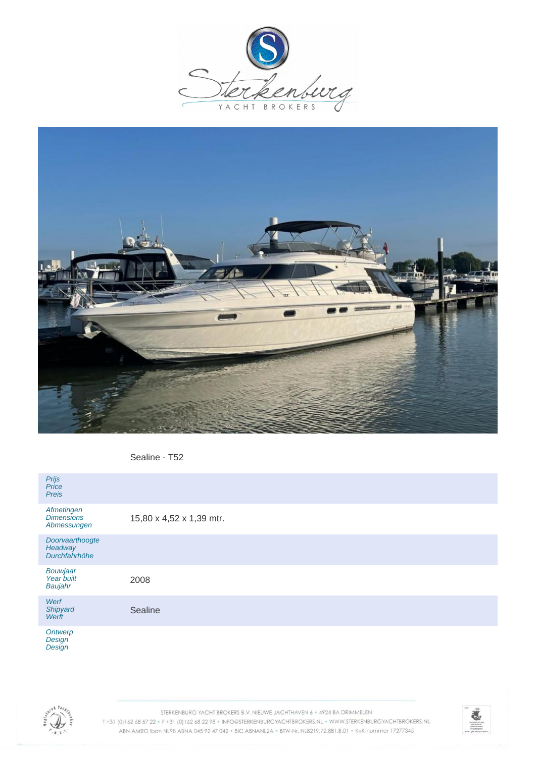



Sealine - T52

| Prijs<br>Price<br><b>Preis</b>                 |                          |
|------------------------------------------------|--------------------------|
| Afmetingen<br><b>Dimensions</b><br>Abmessungen | 15,80 x 4,52 x 1,39 mtr. |
| Doorvaarthoogte<br>Headway<br>Durchfahrhöhe    |                          |
| <b>Bouwjaar</b><br>Year built<br>Baujahr       | 2008                     |
| Werf<br>Shipyard<br>Werft                      | Sealine                  |
| Ontwerp<br>Design <sup>'</sup><br>Design       |                          |



STERKENBURG YACHT BROKERS B.V. NIEUWE JACHTHAVEN 6 · 4924 BA DRIMMELEN T+31 (0) 162 68 57 22 · F+31 (0) 162 68 22 98 · INFO@STERKENBURGYACHTBROKERS.NL · WWW.STERKENBURGYACHTBROKERS.NL ABN AMRO Iban NL98 ABNA 045 92 47 042 . BIC ABNANL2A . BTW-Nr. NL8219.72.881.B.01 . KvK-nummer 17277345

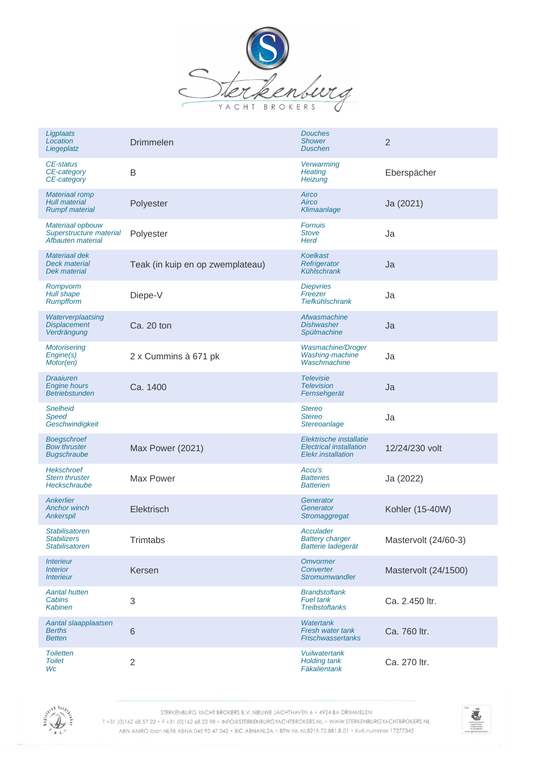

| Ligplaats<br>Location<br>Liegeplatz                                    | <b>Drimmelen</b>                 | <b>Douches</b><br><b>Shower</b><br><b>Duschen</b>                               | $\overline{2}$       |
|------------------------------------------------------------------------|----------------------------------|---------------------------------------------------------------------------------|----------------------|
| CE-status<br>CE-category<br>CE-category                                | B                                | Verwarming<br><b>Heating</b><br>Heizung                                         | Eberspächer          |
| <b>Materiaal romp</b><br><b>Hull material</b><br><b>Rumpf material</b> | Polyester                        | Airco<br>Airco<br>Klimaanlage                                                   | Ja (2021)            |
| Materiaal opbouw<br>Superstructure material<br>Afbauten material       | Polyester                        | <b>Fornuis</b><br><b>Stove</b><br><b>Herd</b>                                   | Ja                   |
| Materiaal dek<br><b>Deck material</b><br>Dek material                  | Teak (in kuip en op zwemplateau) | <b>Koelkast</b><br>Refrigerator<br>Kühlschrank                                  | Ja                   |
| Rompvorm<br>Hull shape<br><b>Rumpfform</b>                             | Diepe-V                          | <b>Diepvries</b><br>Freezer<br><b>Tiefkühlschrank</b>                           | Ja                   |
| Waterverplaatsing<br><b>Displacement</b><br>Verdrängung                | Ca. 20 ton                       | Afwasmachine<br><b>Dishwasher</b><br>Spülmachine                                | Ja                   |
| <b>Motorisering</b><br>Engine(s)<br>Motor(en)                          | 2 x Cummins à 671 pk             | <b>Wasmachine/Droger</b><br>Washing-machine<br>Waschmachine                     | Ja                   |
| <b>Draaiuren</b><br><b>Engine hours</b><br><b>Betriebstunden</b>       | Ca. 1400                         | <b>Televisie</b><br><b>Television</b><br>Fernsehgerät                           | Ja                   |
| <b>Snelheid</b><br>Speed<br>Geschwindigkeit                            |                                  | <b>Stereo</b><br><b>Stereo</b><br>Stereoanlage                                  | Ja                   |
| <b>Boegschroef</b><br><b>Bow thruster</b><br><b>Bugschraube</b>        | Max Power (2021)                 | Elektrische installatie<br><b>Electrical installation</b><br>Elekr.installation | 12/24/230 volt       |
| <b>Hekschroef</b><br><b>Stern thruster</b><br>Heckschraube             | Max Power                        | Accu's<br><b>Batteries</b><br><b>Batterien</b>                                  | Ja (2022)            |
| Ankerlier<br><b>Anchor winch</b><br>Ankerspil                          | Elektrisch                       | Generator<br>Generator<br>Stromaggregat                                         | Kohler (15-40W)      |
| Stabilisatoren<br><b>Stabilizers</b><br><b>Stabilisatoren</b>          | Trimtabs                         | Acculader<br><b>Battery charger</b><br>Batterie ladegerät                       | Mastervolt (24/60-3) |
| <i><b>Interieur</b></i><br><b>Interior</b><br><i><b>Interieur</b></i>  | Kersen                           | <b>Omvormer</b><br>Converter<br><b>Stromumwandler</b>                           | Mastervolt (24/1500) |
| <b>Aantal hutten</b><br>Cabins<br><b>Kabinen</b>                       | 3                                | <b>Brandstoftank</b><br><b>Fuel tank</b><br><b>Treibstoftanks</b>               | Ca. 2.450 ltr.       |
| Aantal slaapplaatsen<br><b>Berths</b><br><b>Betten</b>                 | $\,$ 6 $\,$                      | <b>Watertank</b><br><b>Fresh water tank</b><br><b>Frischwassertanks</b>         | Ca. 760 ltr.         |
| <b>Toiletten</b><br><b>Toilet</b><br>Wc                                | $\overline{2}$                   | <b>Vuilwatertank</b><br><b>Holding tank</b><br>Fäkalientank                     | Ca. 270 ltr.         |



STERKENBURG YACHT BROKERS B.V. NIEUWE JACHTHAVEN 6 · 4924 BA DRIMMELEN

T+31 (0)162 68 57 22 · F+31 (0)162 68 22 98 · INFO@STERKENBURGYACHTBROKERS.NL · WWW.STERKENBURGYACHTBROKERS.NL ABN AMRO Iban NL98 ABNA 045 92 47 042 . BIC ABNANL2A . BTW-Nr. NL8219.72.881.B.01 . KvK-nummer 17277345